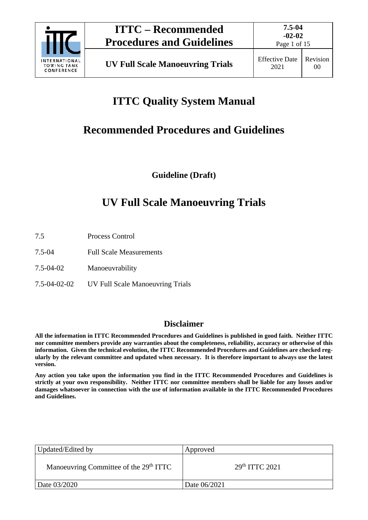

Page 1 of 15

# **ITTC Quality System Manual**

# **Recommended Procedures and Guidelines**

**Guideline (Draft)**

# **UV Full Scale Manoeuvring Trials**

- 7.5 Process Control
- 7.5-04 Full Scale Measurements
- 7.5-04-02 Manoeuvrability
- 7.5-04-02-02 UV Full Scale Manoeuvring Trials

## **Disclaimer**

**All the information in ITTC Recommended Procedures and Guidelines is published in good faith. Neither ITTC nor committee members provide any warranties about the completeness, reliability, accuracy or otherwise of this information. Given the technical evolution, the ITTC Recommended Procedures and Guidelines are checked regularly by the relevant committee and updated when necessary. It is therefore important to always use the latest version.**

**Any action you take upon the information you find in the ITTC Recommended Procedures and Guidelines is strictly at your own responsibility. Neither ITTC nor committee members shall be liable for any losses and/or damages whatsoever in connection with the use of information available in the ITTC Recommended Procedures and Guidelines.**

| Updated/Edited by                                  | Approved         |
|----------------------------------------------------|------------------|
| Manoeuvring Committee of the 29 <sup>th</sup> ITTC | $29th$ ITTC 2021 |
| Date 03/2020                                       | Date 06/2021     |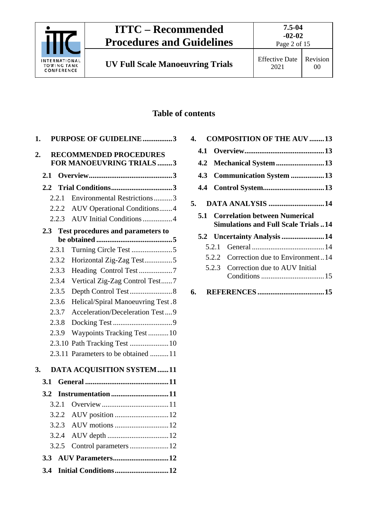

Page 2 of 15

## Revision 00

## **Table of contents**

| <b>PURPOSE OF GUIDELINE3</b><br>1.              |
|-------------------------------------------------|
| 2.<br><b>RECOMMENDED PROCEDURES</b>             |
| FOR MANOEUVRING TRIALS 3                        |
| 2.1                                             |
| 2.2                                             |
| Environmental Restrictions3<br>2.2.1            |
| <b>AUV Operational Conditions4</b><br>2.2.2     |
| AUV Initial Conditions 4<br>2.2.3               |
| <b>Test procedures and parameters to</b><br>2.3 |
|                                                 |
| Turning Circle Test 5<br>2.3.1                  |
| 2.3.2<br>Horizontal Zig-Zag Test5               |
| Heading Control Test 7<br>2.3.3                 |
| 2.3.4<br>Vertical Zig-Zag Control Test7         |
| Depth Control Test8<br>2.3.5                    |
| Helical/Spiral Manoeuvring Test.8<br>2.3.6      |
| Acceleration/Deceleration Test9<br>2.3.7        |
| 2.3.8                                           |
| 2.3.9<br>Waypoints Tracking Test 10             |
| Path Tracking Test  10<br>2.3.10                |
| 2.3.11 Parameters to be obtained 11             |
| 3.<br><b>DATA ACQUISITION SYSTEM11</b>          |
| 3.1                                             |
| Instrumentation11<br>3.2                        |
| 3.2.1                                           |
|                                                 |
| 3.2.3                                           |
| 3.2.4                                           |
| Control parameters  12<br>3.2.5                 |
| AUV Parameters12<br>3.3                         |
| Initial Conditions12<br>3.4                     |
|                                                 |

| 4. |                               |  | <b>COMPOSITION OF THE AUV 13</b>           |  |  |
|----|-------------------------------|--|--------------------------------------------|--|--|
|    |                               |  |                                            |  |  |
|    |                               |  |                                            |  |  |
|    |                               |  | 4.3 Communication System 13                |  |  |
|    |                               |  |                                            |  |  |
|    | <b>DATA ANALYSIS 14</b><br>5. |  |                                            |  |  |
|    |                               |  | <b>5.1 Correlation between Numerical</b>   |  |  |
|    |                               |  | <b>Simulations and Full Scale Trials14</b> |  |  |
|    |                               |  | 5.2 Uncertainty Analysis 14                |  |  |
|    |                               |  |                                            |  |  |
|    |                               |  | 5.2.2 Correction due to Environment14      |  |  |
|    |                               |  | 5.2.3 Correction due to AUV Initial        |  |  |
|    |                               |  |                                            |  |  |
|    |                               |  |                                            |  |  |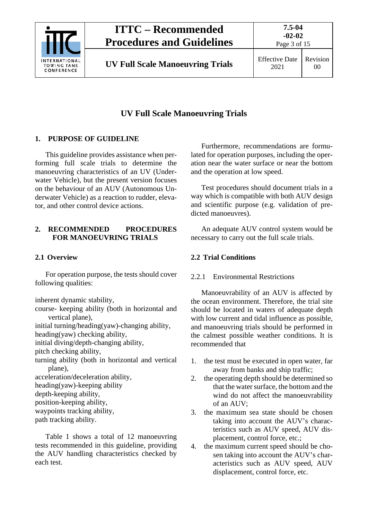

Page 3 of 15

## **UV Full Scale Manoeuvring Trials**

## <span id="page-2-0"></span>**1. PURPOSE OF GUIDELINE**

This guideline provides assistance when performing full scale trials to determine the manoeuvring characteristics of an UV (Underwater Vehicle), but the present version focuses on the behaviour of an AUV (Autonomous Underwater Vehicle) as a reaction to rudder, elevator, and other control device actions.

## <span id="page-2-1"></span>**2. RECOMMENDED PROCEDURES FOR MANOEUVRING TRIALS**

## <span id="page-2-2"></span>**2.1 Overview**

For operation purpose, the tests should cover following qualities:

inherent dynamic stability,

course- keeping ability (both in horizontal and vertical plane),

initial turning/heading(yaw)-changing ability,

heading(yaw) checking ability,

initial diving/depth-changing ability,

pitch checking ability,

turning ability (both in horizontal and vertical plane),

acceleration/deceleration ability,

heading(yaw)-keeping ability

depth-keeping ability,

position-keeping ability,

waypoints tracking ability,

path tracking ability.

Table 1 shows a total of 12 manoeuvring tests recommended in this guideline, providing the AUV handling characteristics checked by each test.

Furthermore, recommendations are formulated for operation purposes, including the operation near the water surface or near the bottom and the operation at low speed.

Test procedures should document trials in a way which is compatible with both AUV design and scientific purpose (e.g. validation of predicted manoeuvres).

An adequate AUV control system would be necessary to carry out the full scale trials.

## <span id="page-2-4"></span><span id="page-2-3"></span>**2.2 Trial Conditions**

## 2.2.1 Environmental Restrictions

Manoeuvrability of an AUV is affected by the ocean environment. Therefore, the trial site should be located in waters of adequate depth with low current and tidal influence as possible, and manoeuvring trials should be performed in the calmest possible weather conditions. It is recommended that

- 1. the test must be executed in open water, far away from banks and ship traffic;
- 2. the operating depth should be determined so that the water surface, the bottom and the wind do not affect the manoeuvrability of an AUV;
- 3. the maximum sea state should be chosen taking into account the AUV's characteristics such as AUV speed, AUV displacement, control force, etc.;
- 4. the maximum current speed should be chosen taking into account the AUV's characteristics such as AUV speed, AUV displacement, control force, etc.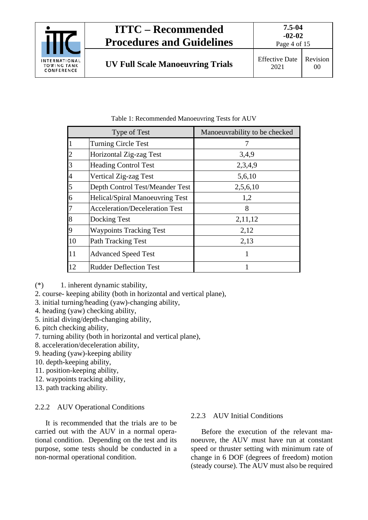

Page 4 of 15

|                | Type of Test                           | Manoeuvrability to be checked |  |
|----------------|----------------------------------------|-------------------------------|--|
| $\mathbf{1}$   | <b>Turning Circle Test</b>             |                               |  |
| $\overline{2}$ | Horizontal Zig-zag Test                | 3,4,9                         |  |
| 3              | <b>Heading Control Test</b>            | 2,3,4,9                       |  |
| $\overline{4}$ | Vertical Zig-zag Test                  | 5,6,10                        |  |
| 5              | Depth Control Test/Meander Test        | 2,5,6,10                      |  |
| 6              | <b>Helical/Spiral Manoeuvring Test</b> | 1,2                           |  |
| $\overline{7}$ | <b>Acceleration/Deceleration Test</b>  | 8                             |  |
| 8              | Docking Test                           | 2,11,12                       |  |
| 9              | <b>Waypoints Tracking Test</b>         | 2,12                          |  |
| 10             | <b>Path Tracking Test</b>              | 2,13                          |  |
| 11             | <b>Advanced Speed Test</b>             |                               |  |
| 12             | <b>Rudder Deflection Test</b>          |                               |  |

Table 1: Recommended Manoeuvring Tests for AUV

- (\*) 1. inherent dynamic stability,
- 2. course- keeping ability (both in horizontal and vertical plane),
- 3. initial turning/heading (yaw)-changing ability,
- 4. heading (yaw) checking ability,
- 5. initial diving/depth-changing ability,
- 6. pitch checking ability,
- 7. turning ability (both in horizontal and vertical plane),
- 8. acceleration/deceleration ability,
- 9. heading (yaw)-keeping ability
- 10. depth-keeping ability,
- 11. position-keeping ability,
- 12. waypoints tracking ability,
- 13. path tracking ability.

#### <span id="page-3-0"></span>2.2.2 AUV Operational Conditions

It is recommended that the trials are to be carried out with the AUV in a normal operational condition. Depending on the test and its purpose, some tests should be conducted in a non-normal operational condition.

#### <span id="page-3-1"></span>2.2.3 AUV Initial Conditions

Before the execution of the relevant manoeuvre, the AUV must have run at constant speed or thruster setting with minimum rate of change in 6 DOF (degrees of freedom) motion (steady course). The AUV must also be required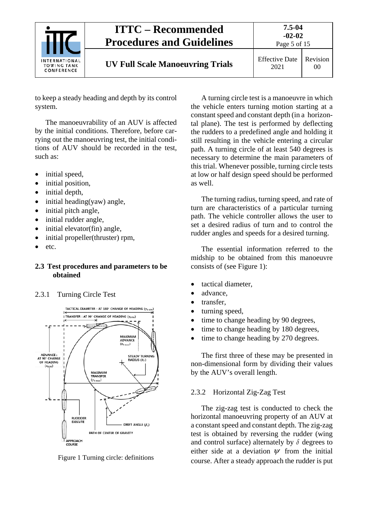

to keep a steady heading and depth by its control system.

The manoeuvrability of an AUV is affected by the initial conditions. Therefore, before carrying out the manoeuvring test, the initial conditions of AUV should be recorded in the test, such as:

- initial speed,
- initial position,
- initial depth,
- initial heading(yaw) angle,
- initial pitch angle,
- initial rudder angle,
- initial elevator(fin) angle,
- initial propeller(thruster) rpm,
- etc.

#### <span id="page-4-0"></span>**2.3 Test procedures and parameters to be obtained**

#### <span id="page-4-1"></span>2.3.1 Turning Circle Test



Figure 1 Turning circle: definitions

A turning circle test is a manoeuvre in which the vehicle enters turning motion starting at a constant speed and constant depth (in a horizontal plane). The test is performed by deflecting the rudders to a predefined angle and holding it still resulting in the vehicle entering a circular path. A turning circle of at least 540 degrees is necessary to determine the main parameters of this trial. Whenever possible, turning circle tests at low or half design speed should be performed as well.

The turning radius, turning speed, and rate of turn are characteristics of a particular turning path. The vehicle controller allows the user to set a desired radius of turn and to control the rudder angles and speeds for a desired turning.

The essential information referred to the midship to be obtained from this manoeuvre consists of (see Figure 1):

- tactical diameter,
- advance.
- transfer,
- turning speed,
- time to change heading by 90 degrees,
- time to change heading by 180 degrees,
- time to change heading by 270 degrees.

The first three of these may be presented in non-dimensional form by dividing their values by the AUV's overall length.

#### <span id="page-4-2"></span>2.3.2 Horizontal Zig-Zag Test

The zig-zag test is conducted to check the horizontal manoeuvring property of an AUV at a constant speed and constant depth. The zig-zag test is obtained by reversing the rudder (wing and control surface) alternately by  $\delta$  degrees to either side at a deviation  $\psi$  from the initial course. After a steady approach the rudder is put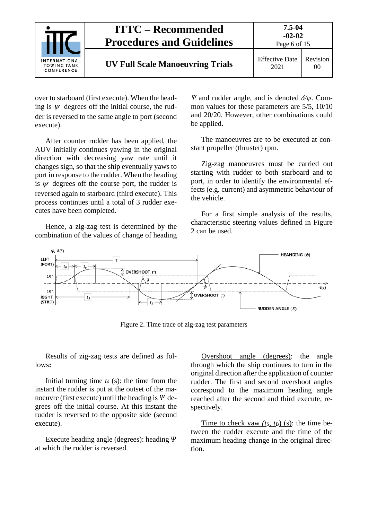|                                                          | <b>ITTC – Recommended</b><br><b>Procedures and Guidelines</b> | $7.5 - 04$<br>$-02-02$<br>Page 6 of 15 |                |
|----------------------------------------------------------|---------------------------------------------------------------|----------------------------------------|----------------|
| <b>INTERNATIONAL</b><br><b>TOWING TANK</b><br>CONFERENCE | <b>UV Full Scale Manoeuvring Trials</b>                       | <b>Effective Date</b><br>2021          | Revision<br>00 |

over to starboard (first execute). When the heading is  $\psi$  degrees off the initial course, the rudder is reversed to the same angle to port (second execute).

After counter rudder has been applied, the AUV initially continues yawing in the original direction with decreasing yaw rate until it changes sign, so that the ship eventually yaws to port in response to the rudder. When the heading is  $\psi$  degrees off the course port, the rudder is reversed again to starboard (third execute). This process continues until a total of 3 rudder executes have been completed.

Hence, a zig-zag test is determined by the combination of the values of change of heading

*Ψ* and rudder angle, and is denoted *δ/ψ*. Common values for these parameters are 5/5, 10/10 and 20/20. However, other combinations could be applied.

The manoeuvres are to be executed at constant propeller (thruster) rpm.

Zig-zag manoeuvres must be carried out starting with rudder to both starboard and to port, in order to identify the environmental effects (e.g. current) and asymmetric behaviour of the vehicle.

For a first simple analysis of the results, characteristic steering values defined in Figure 2 can be used.



Figure 2. Time trace of zig-zag test parameters

Results of zig-zag tests are defined as follows**:**

Initial turning time  $t<sub>δ</sub>$  (s): the time from the instant the rudder is put at the outset of the manoeuvre (first execute) until the heading is  $\Psi$  degrees off the initial course. At this instant the rudder is reversed to the opposite side (second execute).

Execute heading angle (degrees): heading  $\Psi$ at which the rudder is reversed.

Overshoot angle (degrees): the angle through which the ship continues to turn in the original direction after the application of counter rudder. The first and second overshoot angles correspond to the maximum heading angle reached after the second and third execute, respectively.

Time to check yaw *(t*S*, t*B) (s): the time between the rudder execute and the time of the maximum heading change in the original direction.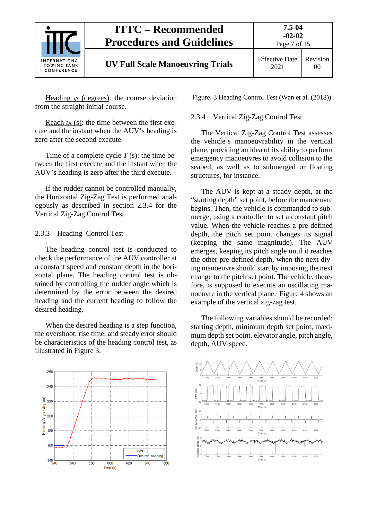

Heading *ψ* (degrees): the course deviation from the straight initial course.

Reach *t*<sup>A</sup> (s): the time between the first execute and the instant when the AUV's heading is zero after the second execute.

Time of a complete cycle *T* (s): the time between the first execute and the instant when the AUV's heading is zero after the third execute.

If the rudder cannot be controlled manually, the Horizontal Zig-Zag Test is performed analogously as described in section 2.3.4 for the Vertical Zig-Zag Control Test.

#### <span id="page-6-0"></span>2.3.3 Heading Control Test

The heading control test is conducted to check the performance of the AUV controller at a constant speed and constant depth in the horizontal plane. The heading control test is obtained by controlling the rudder angle which is determined by the error between the desired heading and the current heading to follow the desired heading.

When the desired heading is a step function, the overshoot, rise time, and steady error should be characteristics of the heading control test, as illustrated in Figure 3.

260 240 Heading Angle (degree) 220 200 180 160 **BBPID** Desired heading  $140 - 140$  $560$ 580 600  $\overline{620}$ 640 660 Time (s)

Figure. 3 Heading Control Test (Wan et al. (2018))

#### <span id="page-6-1"></span>2.3.4 Vertical Zig-Zag Control Test

The Vertical Zig-Zag Control Test assesses the vehicle's manoeuvrability in the vertical plane, providing an idea of its ability to perform emergency manoeuvres to avoid collision to the seabed, as well as to submerged or floating structures, for instance.

The AUV is kept at a steady depth, at the "starting depth" set point, before the manoeuvre begins. Then, the vehicle is commanded to submerge, using a controller to set a constant pitch value. When the vehicle reaches a pre-defined depth, the pitch set point changes its signal (keeping the same magnitude). The AUV emerges, keeping its pitch angle until it reaches the other pre-defined depth, when the next diving manoeuvre should start by imposing the next change to the pitch set point. The vehicle, therefore, is supposed to execute an oscillating manoeuvre in the vertical plane. Figure 4 shows an example of the vertical zig-zag test.

The following variables should be recorded: starting depth, minimum depth set point, maximum depth set point, elevator angle, pitch angle, depth, AUV speed.

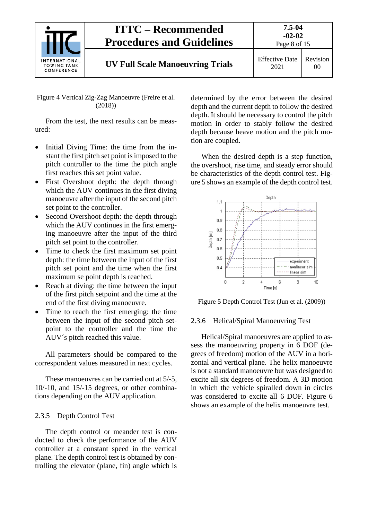

Figure 4 Vertical Zig-Zag Manoeuvre (Freire et al. (2018))

From the test, the next results can be measured:

- Initial Diving Time: the time from the instant the first pitch set point is imposed to the pitch controller to the time the pitch angle first reaches this set point value.
- First Overshoot depth: the depth through which the AUV continues in the first diving manoeuvre after the input of the second pitch set point to the controller.
- Second Overshoot depth: the depth through which the AUV continues in the first emerging manoeuvre after the input of the third pitch set point to the controller.
- Time to check the first maximum set point depth: the time between the input of the first pitch set point and the time when the first maximum se point depth is reached.
- Reach at diving: the time between the input of the first pitch setpoint and the time at the end of the first diving manoeuvre.
- Time to reach the first emerging: the time between the input of the second pitch setpoint to the controller and the time the AUV´s pitch reached this value.

All parameters should be compared to the correspondent values measured in next cycles.

These manoeuvres can be carried out at 5/-5, 10/-10, and 15/-15 degrees, or other combinations depending on the AUV application.

#### <span id="page-7-0"></span>2.3.5 Depth Control Test

The depth control or meander test is conducted to check the performance of the AUV controller at a constant speed in the vertical plane. The depth control test is obtained by controlling the elevator (plane, fin) angle which is determined by the error between the desired depth and the current depth to follow the desired depth. It should be necessary to control the pitch motion in order to stably follow the desired depth because heave motion and the pitch motion are coupled.

When the desired depth is a step function, the overshoot, rise time, and steady error should be characteristics of the depth control test. Figure 5 shows an example of the depth control test.



Figure 5 Depth Control Test (Jun et al. (2009))

#### <span id="page-7-1"></span>2.3.6 Helical/Spiral Manoeuvring Test

Helical/Spiral manoeuvres are applied to assess the manoeuvring property in 6 DOF (degrees of freedom) motion of the AUV in a horizontal and vertical plane. The helix manoeuvre is not a standard manoeuvre but was designed to excite all six degrees of freedom. A 3D motion in which the vehicle spiralled down in circles was considered to excite all 6 DOF. Figure 6 shows an example of the helix manoeuvre test.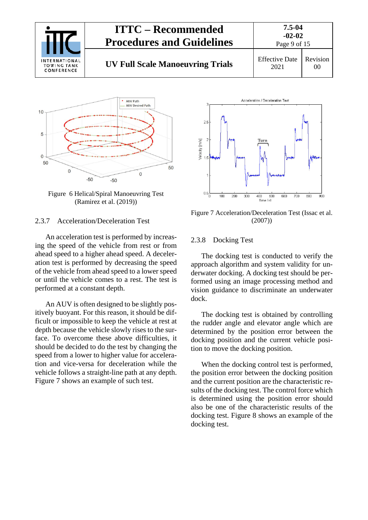



Figure 6 Helical/Spiral Manoeuvring Test (Ramirez et al. (2019))

#### <span id="page-8-0"></span>2.3.7 Acceleration/Deceleration Test

An acceleration test is performed by increasing the speed of the vehicle from rest or from ahead speed to a higher ahead speed. A deceleration test is performed by decreasing the speed of the vehicle from ahead speed to a lower speed or until the vehicle comes to a rest. The test is performed at a constant depth.

An AUV is often designed to be slightly positively buoyant. For this reason, it should be difficult or impossible to keep the vehicle at rest at depth because the vehicle slowly rises to the surface. To overcome these above difficulties, it should be decided to do the test by changing the speed from a lower to higher value for acceleration and vice-versa for deceleration while the vehicle follows a straight-line path at any depth. Figure 7 shows an example of such test.



Figure 7 Acceleration/Deceleration Test (Issac et al. (2007))

#### <span id="page-8-1"></span>2.3.8 Docking Test

The docking test is conducted to verify the approach algorithm and system validity for underwater docking. A docking test should be performed using an image processing method and vision guidance to discriminate an underwater dock.

The docking test is obtained by controlling the rudder angle and elevator angle which are determined by the position error between the docking position and the current vehicle position to move the docking position.

When the docking control test is performed, the position error between the docking position and the current position are the characteristic results of the docking test. The control force which is determined using the position error should also be one of the characteristic results of the docking test. Figure 8 shows an example of the docking test.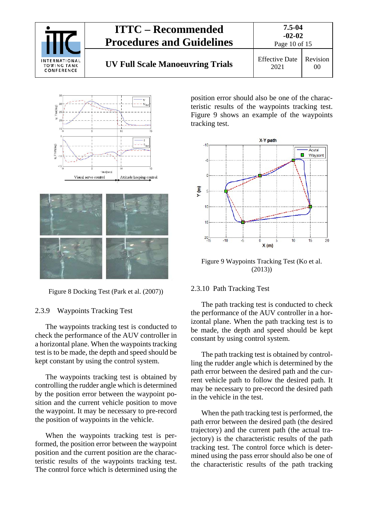





Figure 8 Docking Test (Park et al. (2007))

#### <span id="page-9-0"></span>2.3.9 Waypoints Tracking Test

The waypoints tracking test is conducted to check the performance of the AUV controller in a horizontal plane. When the waypoints tracking test is to be made, the depth and speed should be kept constant by using the control system.

The waypoints tracking test is obtained by controlling the rudder angle which is determined by the position error between the waypoint position and the current vehicle position to move the waypoint. It may be necessary to pre-record the position of waypoints in the vehicle.

When the waypoints tracking test is performed, the position error between the waypoint position and the current position are the characteristic results of the waypoints tracking test. The control force which is determined using the

position error should also be one of the characteristic results of the waypoints tracking test. Figure 9 shows an example of the waypoints tracking test.



Figure 9 Waypoints Tracking Test (Ko et al. (2013))

#### <span id="page-9-1"></span>2.3.10 Path Tracking Test

The path tracking test is conducted to check the performance of the AUV controller in a horizontal plane. When the path tracking test is to be made, the depth and speed should be kept constant by using control system.

The path tracking test is obtained by controlling the rudder angle which is determined by the path error between the desired path and the current vehicle path to follow the desired path. It may be necessary to pre-record the desired path in the vehicle in the test.

When the path tracking test is performed, the path error between the desired path (the desired trajectory) and the current path (the actual trajectory) is the characteristic results of the path tracking test. The control force which is determined using the pass error should also be one of the characteristic results of the path tracking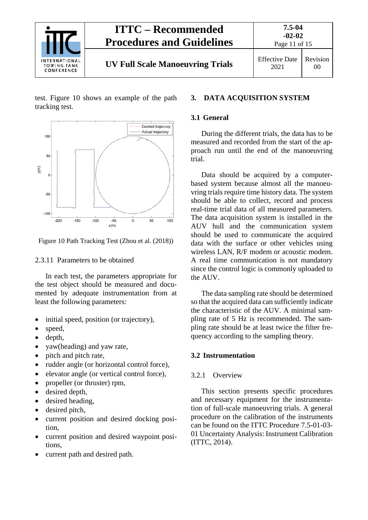

test. Figure 10 shows an example of the path tracking test.



Figure 10 Path Tracking Test (Zhou et al. (2018))

#### <span id="page-10-0"></span>2.3.11 Parameters to be obtained

In each test, the parameters appropriate for the test object should be measured and documented by adequate instrumentation from at least the following parameters:

- initial speed, position (or trajectory),
- speed,
- depth,
- yaw(heading) and yaw rate,
- pitch and pitch rate,
- rudder angle (or horizontal control force),
- elevator angle (or vertical control force),
- propeller (or thruster) rpm,
- desired depth,
- desired heading,
- desired pitch,
- current position and desired docking position,
- current position and desired waypoint positions,
- current path and desired path.

#### <span id="page-10-2"></span><span id="page-10-1"></span>**3. DATA ACQUISITION SYSTEM**

#### **3.1 General**

During the different trials, the data has to be measured and recorded from the start of the approach run until the end of the manoeuvring trial.

Data should be acquired by a computerbased system because almost all the manoeuvring trials require time history data. The system should be able to collect, record and process real-time trial data of all measured parameters. The data acquisition system is installed in the AUV hull and the communication system should be used to communicate the acquired data with the surface or other vehicles using wireless LAN, R/F modem or acoustic modem. A real time communication is not mandatory since the control logic is commonly uploaded to the AUV.

The data sampling rate should be determined so that the acquired data can sufficiently indicate the characteristic of the AUV. A minimal sampling rate of 5 Hz is recommended. The sampling rate should be at least twice the filter frequency according to the sampling theory.

#### <span id="page-10-4"></span><span id="page-10-3"></span>**3.2 Instrumentation**

#### 3.2.1 Overview

This section presents specific procedures and necessary equipment for the instrumentation of full-scale manoeuvring trials. A general procedure on the calibration of the instruments can be found on the ITTC Procedure 7.5-01-03- 01 Uncertainty Analysis: Instrument Calibration (ITTC, 2014).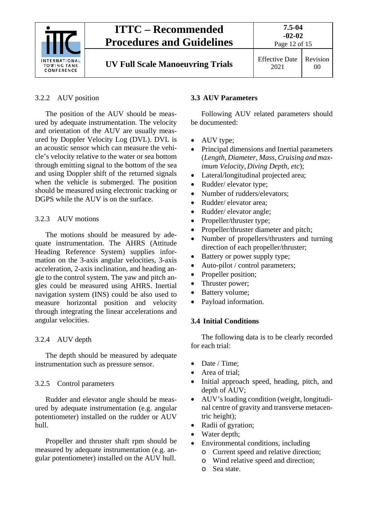

#### <span id="page-11-0"></span>3.2.2 AUV position

The position of the AUV should be measured by adequate instrumentation. The velocity and orientation of the AUV are usually measured by Doppler Velocity Log (DVL). DVL is an acoustic sensor which can measure the vehicle's velocity relative to the water or sea bottom through emitting signal to the bottom of the sea and using Doppler shift of the returned signals when the vehicle is submerged. The position should be measured using electronic tracking or DGPS while the AUV is on the surface.

#### <span id="page-11-1"></span>3.2.3 AUV motions

The motions should be measured by adequate instrumentation. The AHRS (Attitude Heading Reference System) supplies information on the 3-axis angular velocities, 3-axis acceleration, 2-axis inclination, and heading angle to the control system. The yaw and pitch angles could be measured using AHRS. Inertial navigation system (INS) could be also used to measure horizontal position and velocity through integrating the linear accelerations and angular velocities.

#### <span id="page-11-2"></span>3.2.4 AUV depth

The depth should be measured by adequate instrumentation such as pressure sensor.

#### <span id="page-11-3"></span>3.2.5 Control parameters

Rudder and elevator angle should be measured by adequate instrumentation (e.g. angular potentiometer) installed on the rudder or AUV hull.

Propeller and thruster shaft rpm should be measured by adequate instrumentation (e.g. angular potentiometer) installed on the AUV hull.

#### <span id="page-11-4"></span>**3.3 AUV Parameters**

Following AUV related parameters should be documented:

- AUV type;
- Principal dimensions and Inertial parameters (*Length, Diameter, Mass, Cruising and maximum Velocity, Diving Depth, etc*);
- Lateral/longitudinal projected area;
- Rudder/ elevator type;
- Number of rudders/elevators:
- Rudder/ elevator area:
- Rudder/ elevator angle;
- Propeller/thruster type;
- Propeller/thruster diameter and pitch;
- Number of propellers/thrusters and turning direction of each propeller/thruster;
- Battery or power supply type;
- Auto-pilot / control parameters;
- Propeller position;
- Thruster power;
- Battery volume;
- Payload information.

#### <span id="page-11-5"></span>**3.4 Initial Conditions**

The following data is to be clearly recorded for each trial:

- Date / Time:
- Area of trial;
- Initial approach speed, heading, pitch, and depth of AUV;
- AUV's loading condition (weight, longitudinal centre of gravity and transverse metacentric height);
- Radii of gyration;
- Water depth;
- Environmental conditions, including
	- o Current speed and relative direction;
	- o Wind relative speed and direction;
	- o Sea state.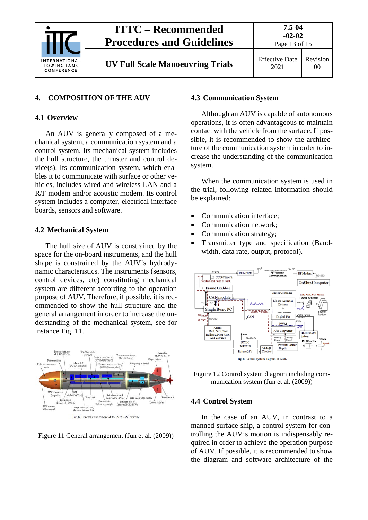

## <span id="page-12-1"></span><span id="page-12-0"></span>**4. COMPOSITION OF THE AUV**

### **4.1 Overview**

An AUV is generally composed of a mechanical system, a communication system and a control system. Its mechanical system includes the hull structure, the thruster and control device(s). Its communication system, which enables it to communicate with surface or other vehicles, includes wired and wireless LAN and a R/F modem and/or acoustic modem. Its control system includes a computer, electrical interface boards, sensors and software.

#### <span id="page-12-2"></span>**4.2 Mechanical System**

The hull size of AUV is constrained by the space for the on-board instruments, and the hull shape is constrained by the AUV's hydrodynamic characteristics. The instruments (sensors, control devices, etc) constituting mechanical system are different according to the operation purpose of AUV. Therefore, if possible, it is recommended to show the hull structure and the general arrangement in order to increase the understanding of the mechanical system, see for instance Fig. 11.



Figure 11 General arrangement (Jun et al. (2009))

#### <span id="page-12-3"></span>**4.3 Communication System**

Although an AUV is capable of autonomous operations, it is often advantageous to maintain contact with the vehicle from the surface. If possible, it is recommended to show the architecture of the communication system in order to increase the understanding of the communication system.

When the communication system is used in the trial, following related information should be explained:

- Communication interface;
- Communication network;
- Communication strategy;
- Transmitter type and specification (Bandwidth, data rate, output, protocol).





#### <span id="page-12-4"></span>**4.4 Control System**

In the case of an AUV, in contrast to a manned surface ship, a control system for controlling the AUV's motion is indispensably required in order to achieve the operation purpose of AUV. If possible, it is recommended to show the diagram and software architecture of the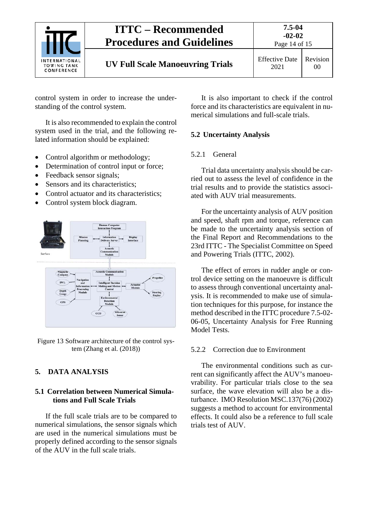

2021 00

control system in order to increase the understanding of the control system.

It is also recommended to explain the control system used in the trial, and the following related information should be explained:

- Control algorithm or methodology;
- Determination of control input or force;
- Feedback sensor signals:
- Sensors and its characteristics:
- Control actuator and its characteristics:
- Control system block diagram.



Figure 13 Software architecture of the control system (Zhang et al. (2018))

## <span id="page-13-1"></span><span id="page-13-0"></span>**5. DATA ANALYSIS**

### **5.1 Correlation between Numerical Simulations and Full Scale Trials**

If the full scale trials are to be compared to numerical simulations, the sensor signals which are used in the numerical simulations must be properly defined according to the sensor signals of the AUV in the full scale trials.

It is also important to check if the control force and its characteristics are equivalent in numerical simulations and full-scale trials.

## <span id="page-13-3"></span><span id="page-13-2"></span>**5.2 Uncertainty Analysis**

## 5.2.1 General

Trial data uncertainty analysis should be carried out to assess the level of confidence in the trial results and to provide the statistics associated with AUV trial measurements.

For the uncertainty analysis of AUV position and speed, shaft rpm and torque, reference can be made to the uncertainty analysis section of the Final Report and Recommendations to the 23rd ITTC - The Specialist Committee on Speed and Powering Trials (ITTC, 2002).

The effect of errors in rudder angle or control device setting on the manoeuvre is difficult to assess through conventional uncertainty analysis. It is recommended to make use of simulation techniques for this purpose, for instance the method described in the ITTC procedure 7.5-02- 06-05, Uncertainty Analysis for Free Running Model Tests.

## <span id="page-13-4"></span>5.2.2 Correction due to Environment

The environmental conditions such as current can significantly affect the AUV's manoeuvrability. For particular trials close to the sea surface, the wave elevation will also be a disturbance. IMO Resolution MSC.137(76) (2002) suggests a method to account for environmental effects. It could also be a reference to full scale trials test of AUV.